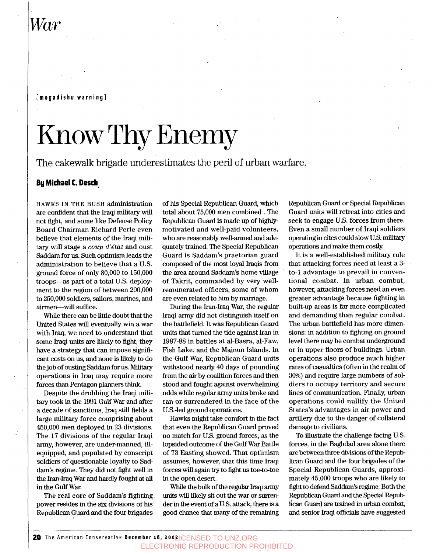## *War*

#### **[mogadishu warning]**

# Know Thy Enemy

The cakewalk brigade underestimates the peril of urban warfare.

#### **By Michael C. Desch**

**HAWKS IN** THE BUSH administration are confident that the Iraqi military will not fight, and some like Defense Policy Board Chairman Richard Perle even believe that elements of the Iraqi military will stage a *coup d'e'tat* and oust Saddam for us. Such optimism leads the administration to believe that a U.S. ground force of only 80,000 to 150,000 troops-as part of a total US. deployment to the region of between 200,000 to 250,000 soldiers, sailors, marines, and airmen-will suffice.

While there can be little doubt that the United States will eventually win a war with Iraq, we need to understand that some Iraqi units are likely to fight, they have a strategy that can impose significant costs on us, and none is likely to do the job of ousting Saddam for us. *Military*  operations in Iraq may require more forces than Pentagon planners think.

Despite the drubbing the Iraqi military took in the 1991 Gulf War and after a decade **of** sanctions, Iraq still fields a large military force comprising about 450,000 men deployed in **23** divisions. The 17 divisions of the regular Iraqi army, however, are under-manned, illequipped, and populated by conscript soldiers of questionable loyalty to Saddam's regime. They did not fight well in the Iran-Iraq War and hardly fought at all in the Gulf War.

The real core of Saddam's fighting power resides in the six divisions **of** his Republican Guard and the four brigades

of **his** Special Republican Guard, which total about 75,000 men combined . The Republican Guard is made up of highlymotivated and well-paid volunteers, who are reasonably well-armed and adequately trained. The Special Republican Guard is Saddam's praetorian guard composed of the most loyal Iraqis from the area around Saddam's home village of Takrit, commanded by very wellremunerated officers, some of whom are even related to him by marriage.

During the Iran-Iraq War, the regular Iraqi army did not distinguish itself on the battlefield. It was Republican Guard units that turned the tide against Iran in 1987-88 in battles at al-Basra, al-Faw, Fish Lake, and the Majnun Islands. In the Gulf War, Republican Guard units withstood nearly 40 days of pounding from the air by coalition forces and then stood and fought against overwhelming odds while regular army units broke and ran or surrendered in the face of the U.S.-led ground operations.

Hawks might take comfort in the fact that even the Republican Guard proved no match for U.S. ground forces, **as** the lopsided outcome of the Gulf War Battle **of 73** Easting showed. That optimism assumes, however, that this time Iraqi forces will again **try** to fight us toe-to-toe in the open desert.

While the bulk of the regular Iraqi amy units will likely sit out the war or surrender in the event of a U.S. attack, there is a good chance that many of the remaining

Republican Guard or Special Republican Guard units will retreat into cities and seek to engage U.S. forces from there. Even a small number of Iraqi soldiers operating in cites could slow U.S. military operations and make them costly.

It is a well-established military rule that attacking forces need at least a **3**  to-1 advantage to prevail in conventional combat. In urban combat, however, attacking forces need an even greater advantage because fighting in built-up areas is far more complicated **and** demanding than regular combat. The urban battlefield has more dimensions: in addition to fighting on ground level there may be combat underground or in upper floors of buildings. Urban operations also produce much higher rates of casualties (often in the realm of **30%)** and require large numbers of soldiers to occupy territory and secure lines of communication. Finally, urban operations could nullify the United States's advantages in air power and artillery due to the danger of collateral damage to civilians.

To illustrate the challenge facing U.S. forces, in the Baghdad area alone there are between three divisions of the Republican Guard and the four brigades of the Special Republican Guards, approximately 45,000 troops who are likely to fight to defend Saddam's regime. Both the Republican Guard and the Special Repub lican Guard are trained in urban combat, and senior Iraqi officials have suggested